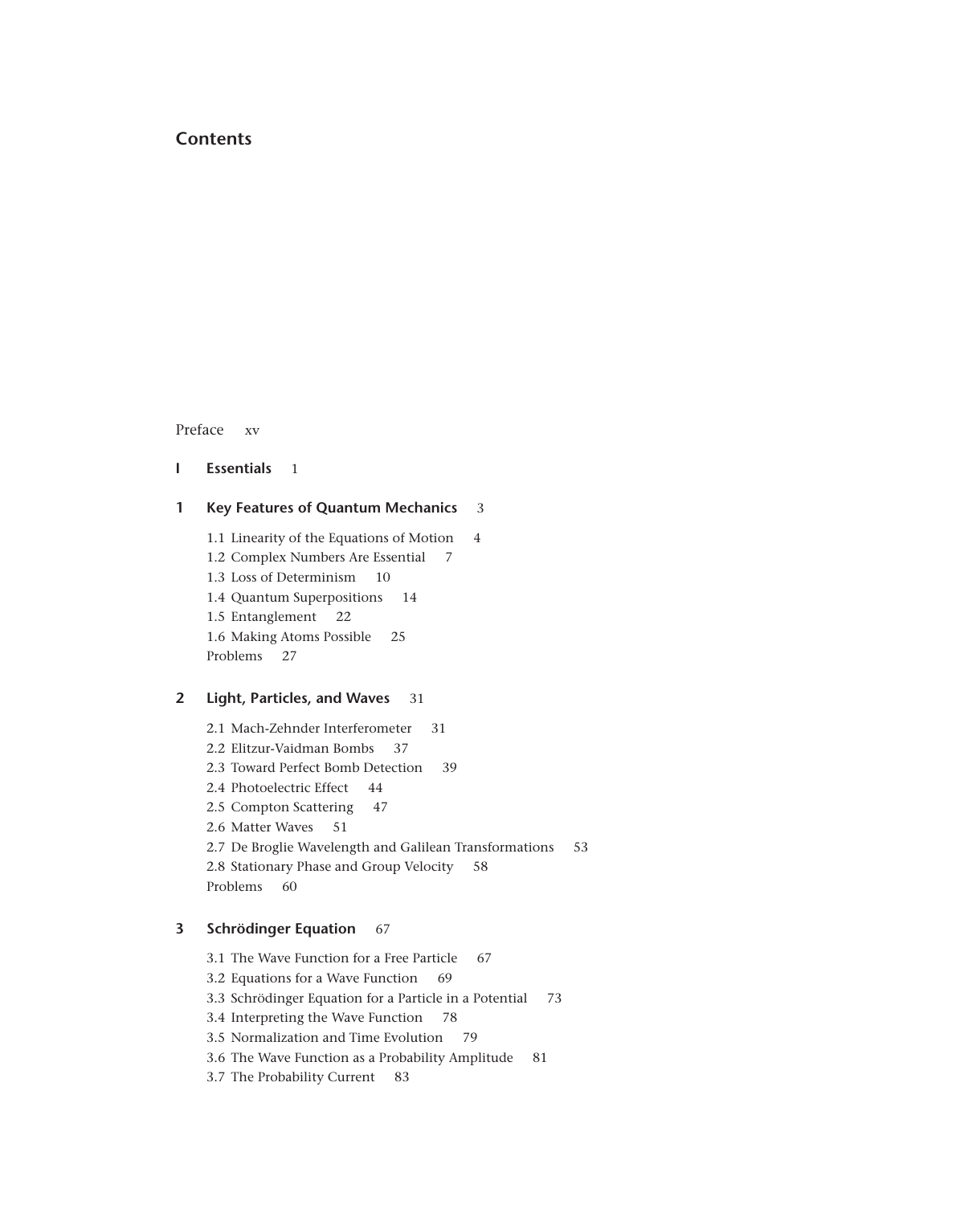# **Contents**

Preface xv

```
I Essentials 1
```
## **1 Key Features of Quantum Mechanics** 3

1.1 Linearity of the Equations of Motion 4 1.2 Complex Numbers Are Essential 7 1.3 Loss of Determinism 10 1.4 Quantum Superpositions 14 1.5 Entanglement 22 1.6 Making Atoms Possible 25 Problems 27

## **2 Light, Particles, and Waves** 31

2.1 Mach-Zehnder Interferometer 31 2.2 Elitzur-Vaidman Bombs 37 2.3 Toward Perfect Bomb Detection 39 2.4 Photoelectric Effect 44 2.5 Compton Scattering 47 2.6 Matter Waves 51 2.7 De Broglie Wavelength and Galilean Transformations 53 2.8 Stationary Phase and Group Velocity 58 Problems 60

# **3 Schrödinger Equation** 67

3.1 The Wave Function for a Free Particle 67

3.2 Equations for a Wave Function 69

3.3 Schrödinger Equation for a Particle in a Potential 73

3.4 Interpreting the Wave Function 78

3.5 Normalization and Time Evolution 79

3.6 The Wave Function as a Probability Amplitude 81

3.7 The Probability Current 83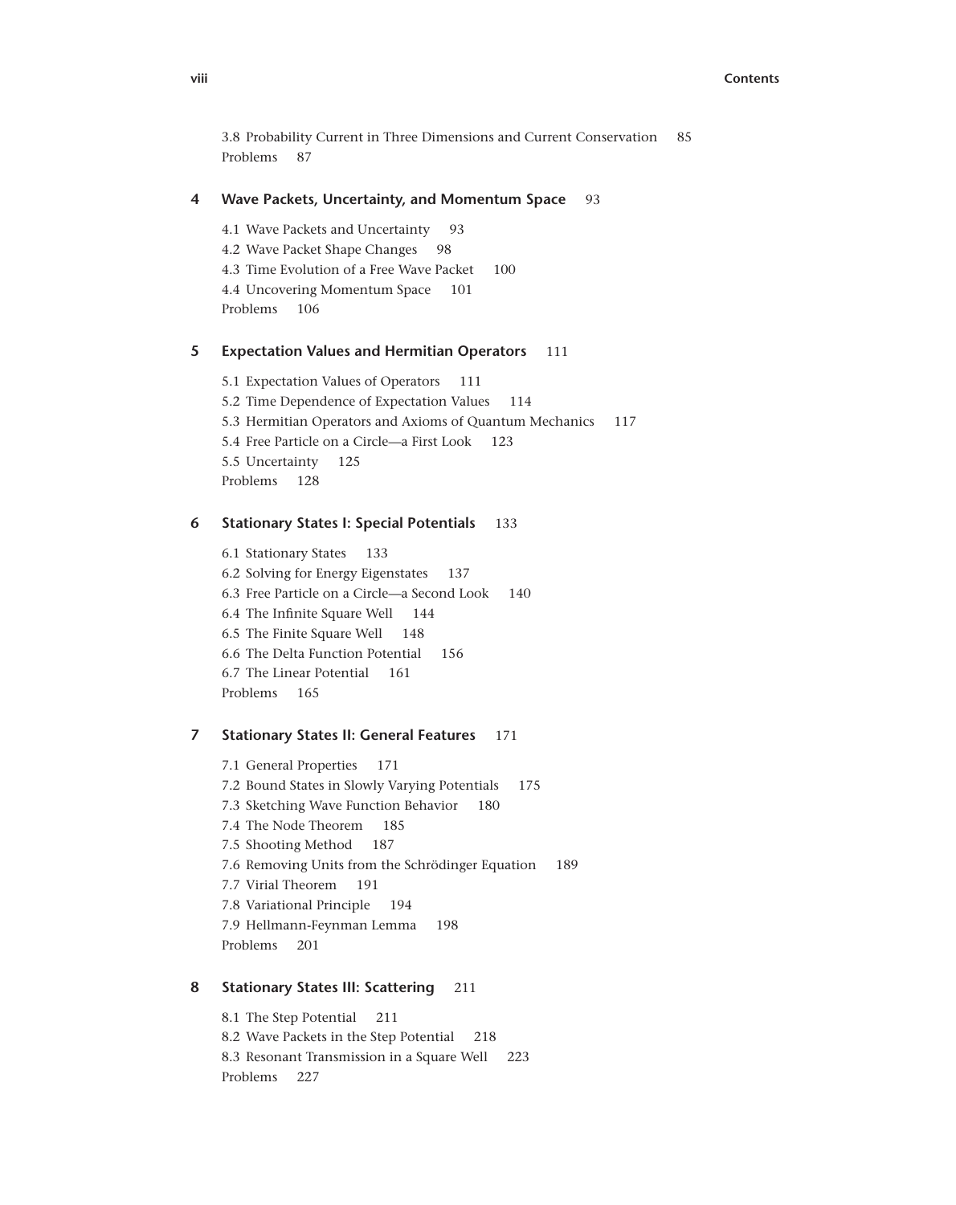3.8 Probability Current in Three Dimensions and Current Conservation 85 Problems 87

### **4 Wave Packets, Uncertainty, and Momentum Space** 93

4.1 Wave Packets and Uncertainty 93 4.2 Wave Packet Shape Changes 98 4.3 Time Evolution of a Free Wave Packet 100 4.4 Uncovering Momentum Space 101 Problems 106

### **5 Expectation Values and Hermitian Operators** 111

5.1 Expectation Values of Operators 111 5.2 Time Dependence of Expectation Values 114 5.3 Hermitian Operators and Axioms of Quantum Mechanics 117 5.4 Free Particle on a Circle—a First Look 123 5.5 Uncertainty 125 Problems 128

## **6 Stationary States I: Special Potentials** 133

6.1 Stationary States 133 6.2 Solving for Energy Eigenstates 137 6.3 Free Particle on a Circle—a Second Look 140 6.4 The Infinite Square Well 144 6.5 The Finite Square Well 148 6.6 The Delta Function Potential 156 6.7 The Linear Potential 161 Problems 165

## **7 Stationary States II: General Features** 171

7.1 General Properties 171 7.2 Bound States in Slowly Varying Potentials 175 7.3 Sketching Wave Function Behavior 180 7.4 The Node Theorem 185 7.5 Shooting Method 187 7.6 Removing Units from the Schrödinger Equation 189 7.7 Virial Theorem 191 7.8 Variational Principle 194 7.9 Hellmann-Feynman Lemma 198 Problems 201

### **8 Stationary States III: Scattering** 211

8.1 The Step Potential 211 8.2 Wave Packets in the Step Potential 218 8.3 Resonant Transmission in a Square Well 223 Problems 227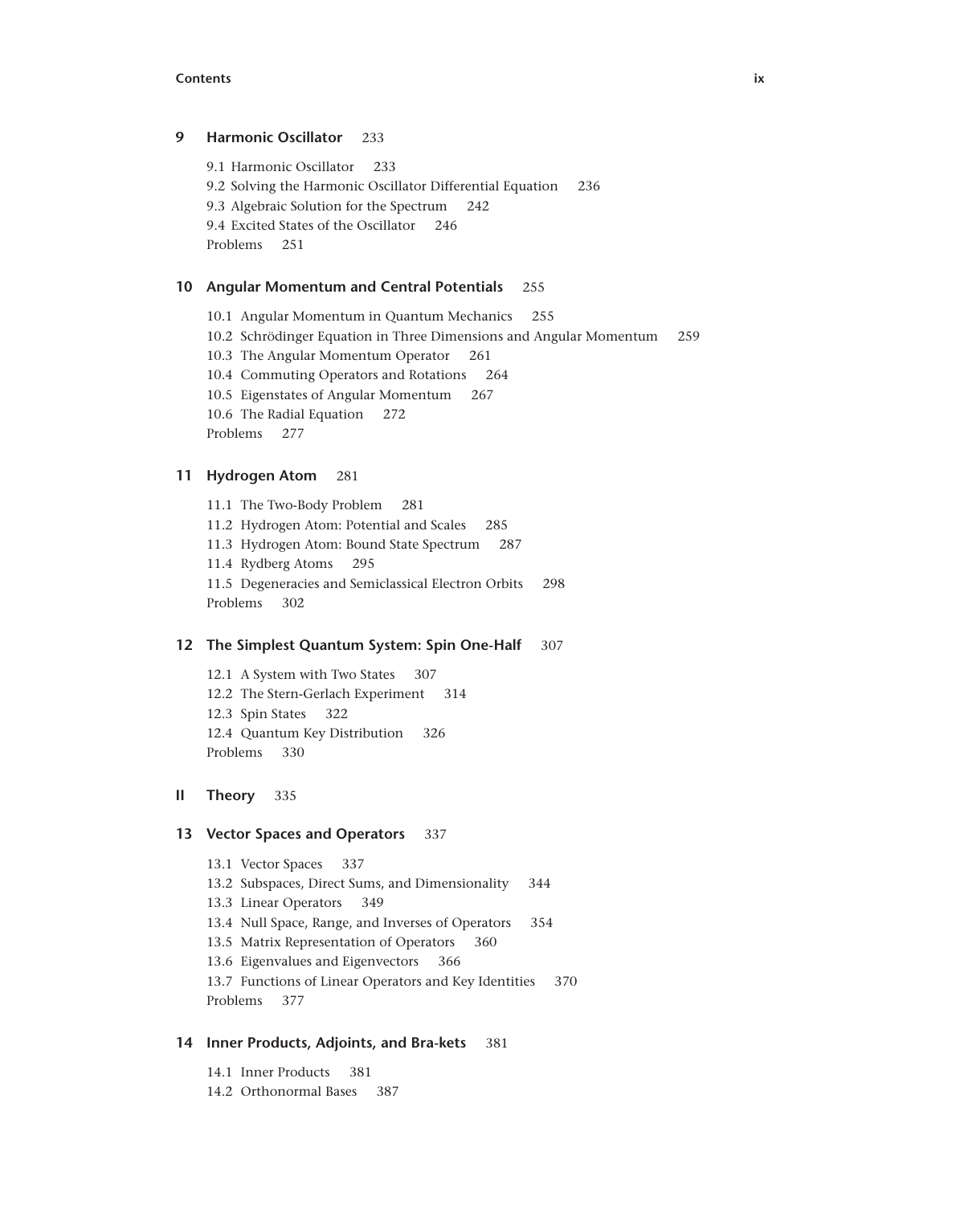#### **Contents ix**

### **9 Harmonic Oscillator** 233

9.1 Harmonic Oscillator 233 9.2 Solving the Harmonic Oscillator Differential Equation 236 9.3 Algebraic Solution for the Spectrum 242 9.4 Excited States of the Oscillator 246 Problems 251

## **10 Angular Momentum and Central Potentials** 255

10.1 Angular Momentum in Quantum Mechanics 255 10.2 Schrödinger Equation in Three Dimensions and Angular Momentum 259 10.3 The Angular Momentum Operator 261 10.4 Commuting Operators and Rotations 264 10.5 Eigenstates of Angular Momentum 267 10.6 The Radial Equation 272 Problems 277

## **11 Hydrogen Atom** 281

11.1 The Two-Body Problem 281 11.2 Hydrogen Atom: Potential and Scales 285 11.3 Hydrogen Atom: Bound State Spectrum 287 11.4 Rydberg Atoms 295 11.5 Degeneracies and Semiclassical Electron Orbits 298 Problems 302

#### **12 The Simplest Quantum System: Spin One-Half** 307

12.1 A System with Two States 307 12.2 The Stern-Gerlach Experiment 314 12.3 Spin States 322 12.4 Quantum Key Distribution 326 Problems 330

#### **II Theory** 335

### **13 Vector Spaces and Operators** 337

13.1 Vector Spaces 337 13.2 Subspaces, Direct Sums, and Dimensionality 344 13.3 Linear Operators 349 13.4 Null Space, Range, and Inverses of Operators 354 13.5 Matrix Representation of Operators 360 13.6 Eigenvalues and Eigenvectors 366 13.7 Functions of Linear Operators and Key Identities 370 Problems 377

### **14 Inner Products, Adjoints, and Bra-kets** 381

14.1 Inner Products 381 14.2 Orthonormal Bases 387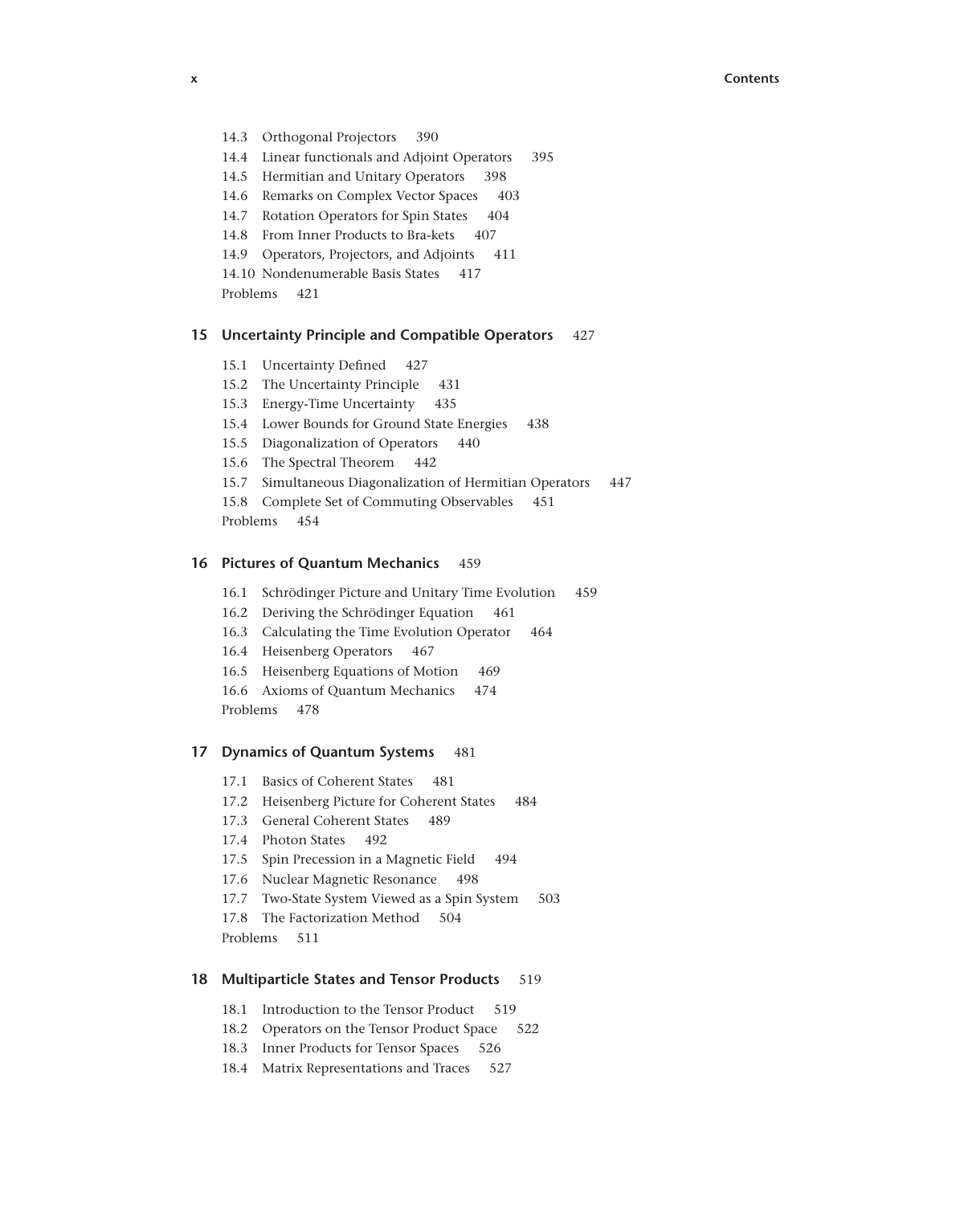- 
- 14.3 Orthogonal Projectors 390
- 14.4 Linear functionals and Adjoint Operators 395
- 14.5 Hermitian and Unitary Operators 398
- 14.6 Remarks on Complex Vector Spaces 403
- 14.7 Rotation Operators for Spin States 404
- 14.8 From Inner Products to Bra-kets 407
- 14.9 Operators, Projectors, and Adjoints 411
- 14.10 Nondenumerable Basis States 417
- Problems 421

### **15 Uncertainty Principle and Compatible Operators** 427

- 15.1 Uncertainty Defined 427
- 15.2 The Uncertainty Principle 431
- 15.3 Energy-Time Uncertainty 435
- 15.4 Lower Bounds for Ground State Energies 438
- 15.5 Diagonalization of Operators 440
- 15.6 The Spectral Theorem 442
- 15.7 Simultaneous Diagonalization of Hermitian Operators 447 15.8 Complete Set of Commuting Observables 451 Problems 454

#### **16 Pictures of Quantum Mechanics** 459

- 16.1 Schrödinger Picture and Unitary Time Evolution 459
- 16.2 Deriving the Schrödinger Equation 461
- 16.3 Calculating the Time Evolution Operator 464
- 16.4 Heisenberg Operators 467
- 16.5 Heisenberg Equations of Motion 469
- 16.6 Axioms of Quantum Mechanics 474
- Problems 478

#### **17 Dynamics of Quantum Systems** 481

- 17.1 Basics of Coherent States 481
- 17.2 Heisenberg Picture for Coherent States 484
- 17.3 General Coherent States 489
- 17.4 Photon States 492
- 17.5 Spin Precession in a Magnetic Field 494
- 17.6 Nuclear Magnetic Resonance 498
- 17.7 Two-State System Viewed as a Spin System 503
- 17.8 The Factorization Method 504
- Problems 511

### **18 Multiparticle States and Tensor Products** 519

- 18.1 Introduction to the Tensor Product 519
- 18.2 Operators on the Tensor Product Space 522
- 18.3 Inner Products for Tensor Spaces 526
- 18.4 Matrix Representations and Traces 527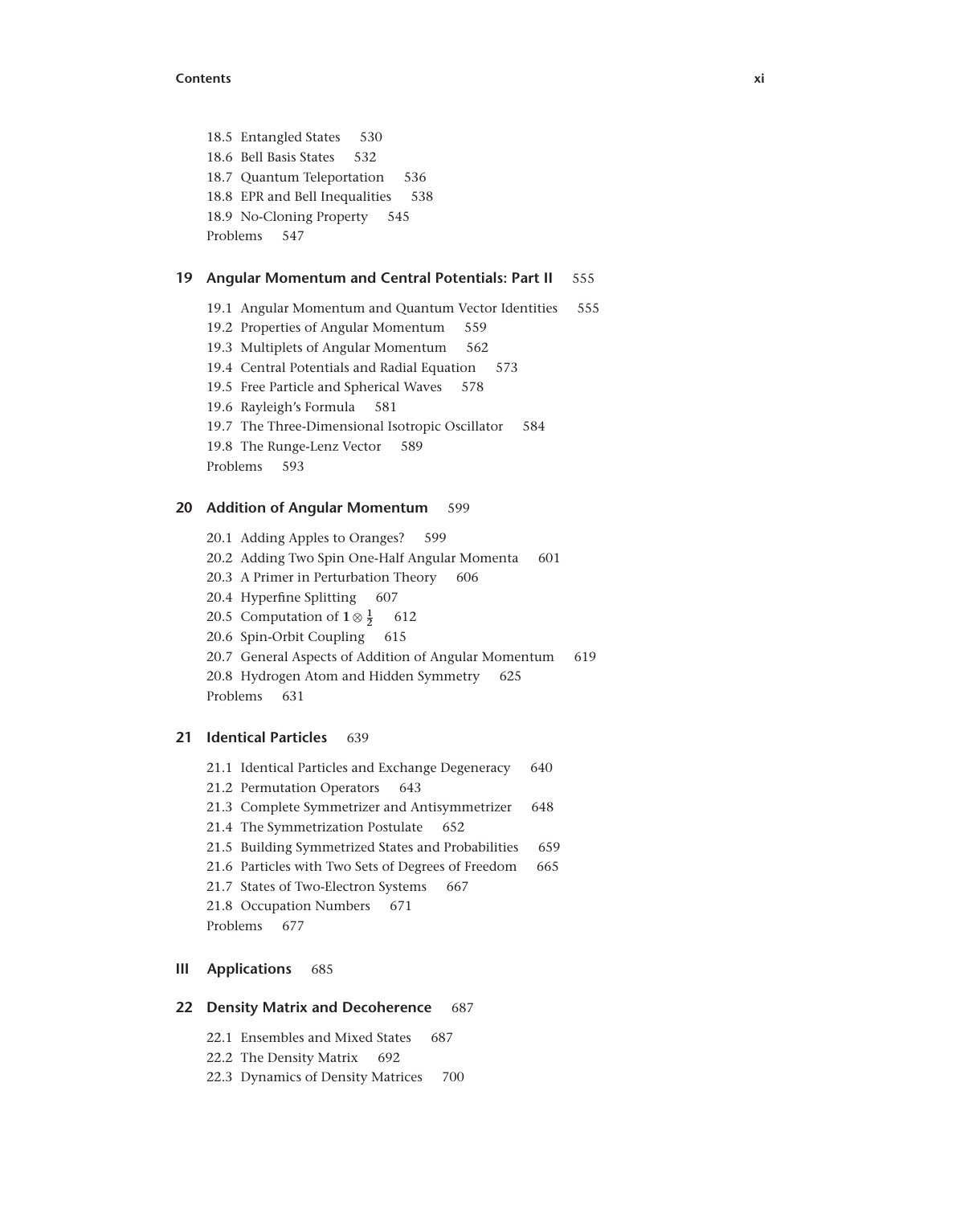#### **Contents xi**

18.5 Entangled States 530 18.6 Bell Basis States 532 18.7 Quantum Teleportation 536 18.8 EPR and Bell Inequalities 538 18.9 No-Cloning Property 545 Problems 547

### **19 Angular Momentum and Central Potentials: Part II** 555

- 19.1 Angular Momentum and Quantum Vector Identities 555
- 19.2 Properties of Angular Momentum 559
- 19.3 Multiplets of Angular Momentum 562
- 19.4 Central Potentials and Radial Equation 573
- 19.5 Free Particle and Spherical Waves 578
- 19.6 Rayleigh's Formula 581
- 19.7 The Three-Dimensional Isotropic Oscillator 584
- 19.8 The Runge-Lenz Vector 589
- Problems 593

### **20 Addition of Angular Momentum** 599

20.1 Adding Apples to Oranges? 599 20.2 Adding Two Spin One-Half Angular Momenta 601 20.3 A Primer in Perturbation Theory 606 20.4 Hyperfine Splitting 607 20.5 Computation of  $1 \otimes \frac{1}{2}$ **<sup>2</sup>** 612 20.6 Spin-Orbit Coupling 615 20.7 General Aspects of Addition of Angular Momentum 619 20.8 Hydrogen Atom and Hidden Symmetry 625 Problems 631

# **21 Identical Particles** 639

21.1 Identical Particles and Exchange Degeneracy 640 21.2 Permutation Operators 643 21.3 Complete Symmetrizer and Antisymmetrizer 648 21.4 The Symmetrization Postulate 652 21.5 Building Symmetrized States and Probabilities 659 21.6 Particles with Two Sets of Degrees of Freedom 665 21.7 States of Two-Electron Systems 667 21.8 Occupation Numbers 671 Problems 677

## **III Applications** 685

### **22 Density Matrix and Decoherence** 687

- 22.1 Ensembles and Mixed States 687
- 22.2 The Density Matrix 692
- 22.3 Dynamics of Density Matrices 700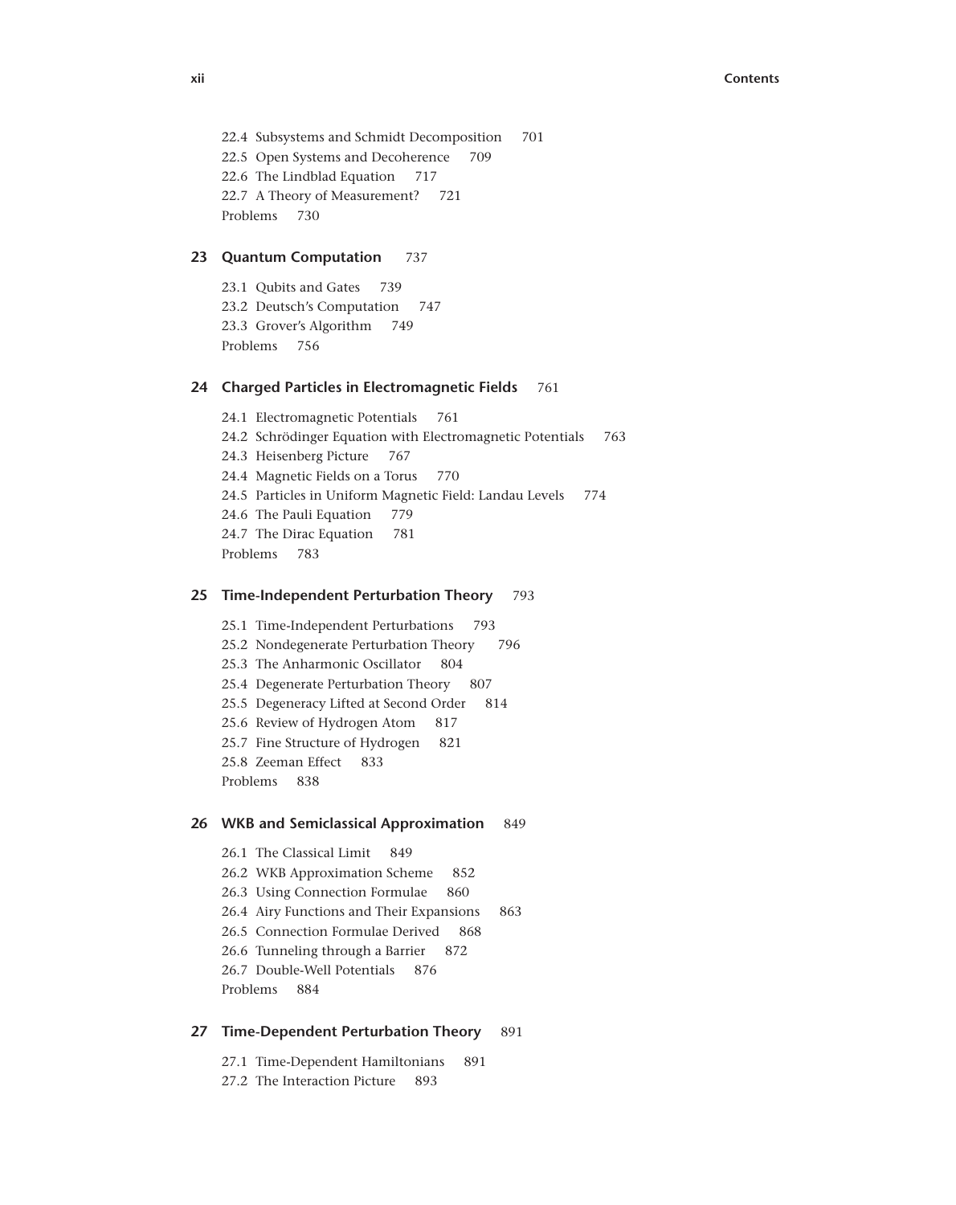```
22.4 Subsystems and Schmidt Decomposition 701
22.5 Open Systems and Decoherence 709
22.6 The Lindblad Equation 717
22.7 A Theory of Measurement? 721
Problems 730
```
#### **23 Quantum Computation** 737

23.1 Qubits and Gates 739 23.2 Deutsch's Computation 747 23.3 Grover's Algorithm 749 Problems 756

### **24 Charged Particles in Electromagnetic Fields** 761

24.1 Electromagnetic Potentials 761 24.2 Schrödinger Equation with Electromagnetic Potentials 763 24.3 Heisenberg Picture 767 24.4 Magnetic Fields on a Torus 770 24.5 Particles in Uniform Magnetic Field: Landau Levels 774 24.6 The Pauli Equation 779 24.7 The Dirac Equation 781 Problems 783

### **25 Time-Independent Perturbation Theory** 793

25.1 Time-Independent Perturbations 793 25.2 Nondegenerate Perturbation Theory 796 25.3 The Anharmonic Oscillator 804 25.4 Degenerate Perturbation Theory 807 25.5 Degeneracy Lifted at Second Order 814 25.6 Review of Hydrogen Atom 817 25.7 Fine Structure of Hydrogen 821 25.8 Zeeman Effect 833 Problems 838

## **26 WKB and Semiclassical Approximation** 849

26.1 The Classical Limit 849 26.2 WKB Approximation Scheme 852 26.3 Using Connection Formulae 860 26.4 Airy Functions and Their Expansions 863 26.5 Connection Formulae Derived 868 26.6 Tunneling through a Barrier 872 26.7 Double-Well Potentials 876 Problems 884

#### **27 Time-Dependent Perturbation Theory** 891

27.1 Time-Dependent Hamiltonians 891 27.2 The Interaction Picture 893